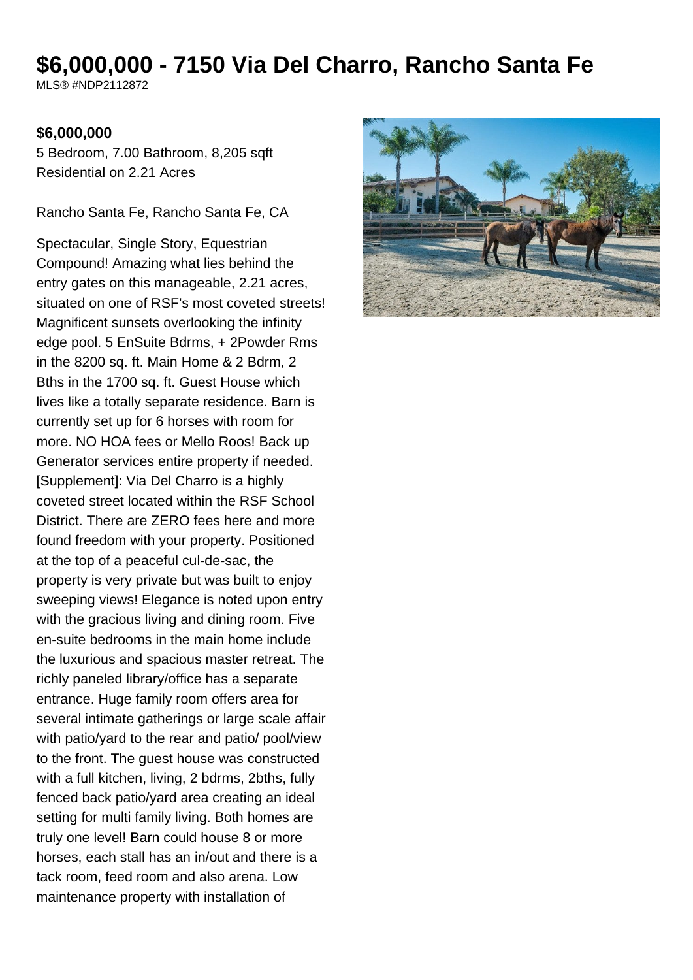# **\$6,000,000 - 7150 Via Del Charro, Rancho Santa Fe**

MLS® #NDP2112872

#### **\$6,000,000**

5 Bedroom, 7.00 Bathroom, 8,205 sqft Residential on 2.21 Acres

Rancho Santa Fe, Rancho Santa Fe, CA

Spectacular, Single Story, Equestrian Compound! Amazing what lies behind the entry gates on this manageable, 2.21 acres, situated on one of RSF's most coveted streets! Magnificent sunsets overlooking the infinity edge pool. 5 EnSuite Bdrms, + 2Powder Rms in the 8200 sq. ft. Main Home & 2 Bdrm, 2 Bths in the 1700 sq. ft. Guest House which lives like a totally separate residence. Barn is currently set up for 6 horses with room for more. NO HOA fees or Mello Roos! Back up Generator services entire property if needed. [Supplement]: Via Del Charro is a highly coveted street located within the RSF School District. There are ZERO fees here and more found freedom with your property. Positioned at the top of a peaceful cul-de-sac, the property is very private but was built to enjoy sweeping views! Elegance is noted upon entry with the gracious living and dining room. Five en-suite bedrooms in the main home include the luxurious and spacious master retreat. The richly paneled library/office has a separate entrance. Huge family room offers area for several intimate gatherings or large scale affair with patio/yard to the rear and patio/ pool/view to the front. The guest house was constructed with a full kitchen, living, 2 bdrms, 2bths, fully fenced back patio/yard area creating an ideal setting for multi family living. Both homes are truly one level! Barn could house 8 or more horses, each stall has an in/out and there is a tack room, feed room and also arena. Low maintenance property with installation of

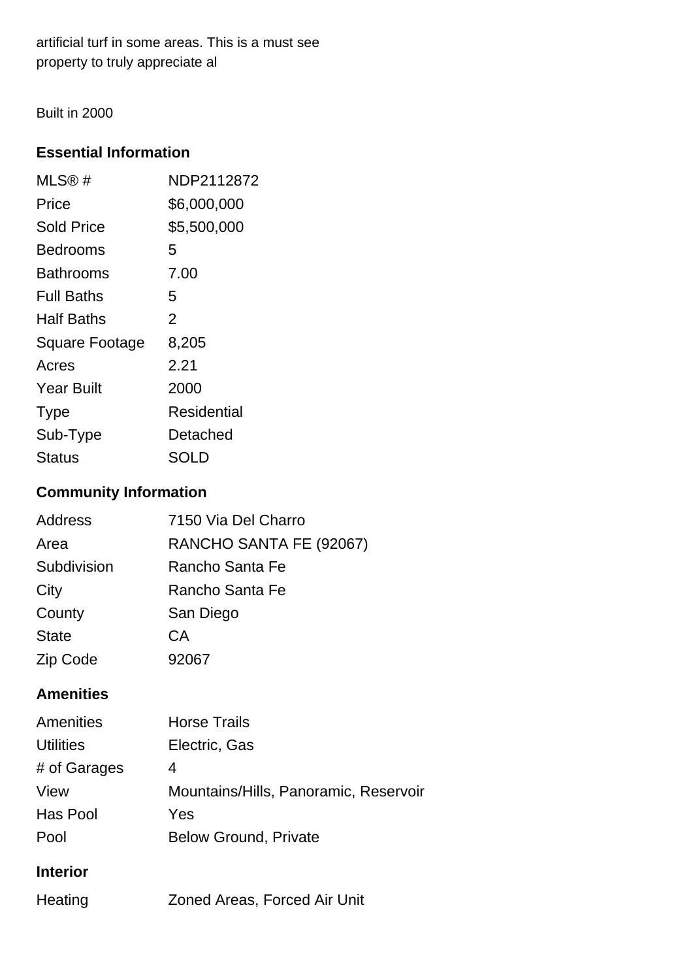artificial turf in some areas. This is a must see property to truly appreciate al

Built in 2000

# **Essential Information**

| MLS®#             | NDP2112872  |
|-------------------|-------------|
| Price             | \$6,000,000 |
| <b>Sold Price</b> | \$5,500,000 |
| Bedrooms          | 5           |
| Bathrooms         | 7.00        |
| <b>Full Baths</b> | 5           |
| Half Baths        | 2           |
| Square Footage    | 8,205       |
| Acres             | 2.21        |
| <b>Year Built</b> | 2000        |
| <b>Type</b>       | Residential |
| Sub-Type          | Detached    |
| Status            | SOLD        |

# **Community Information**

| <b>Address</b> | 7150 Via Del Charro     |
|----------------|-------------------------|
| Area           | RANCHO SANTA FE (92067) |
| Subdivision    | Rancho Santa Fe         |
| City           | Rancho Santa Fe         |
| County         | San Diego               |
| <b>State</b>   | CA                      |
| Zip Code       | 92067                   |

## **Amenities**

| Amenities        | <b>Horse Trails</b>                   |
|------------------|---------------------------------------|
| <b>Utilities</b> | Electric, Gas                         |
| # of Garages     | 4                                     |
| View             | Mountains/Hills, Panoramic, Reservoir |
| Has Pool         | Yes                                   |
| Pool             | <b>Below Ground, Private</b>          |
|                  |                                       |

# **Interior**

| <b>Zoned Areas, Forced Air Unit</b><br>Heating |  |
|------------------------------------------------|--|
|------------------------------------------------|--|